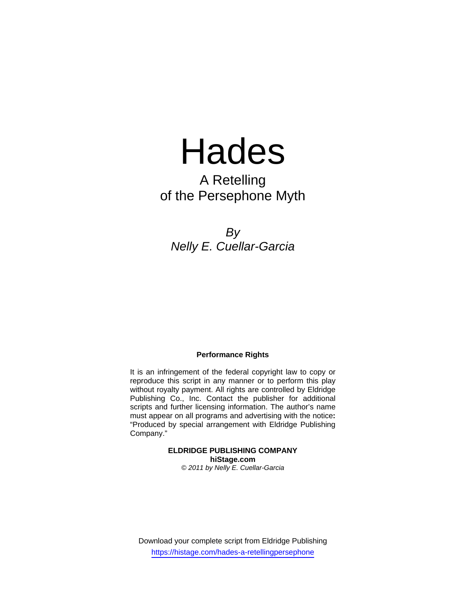# Hades

## A Retelling of the Persephone Myth

*By Nelly E. Cuellar-Garcia*

#### **Performance Rights**

It is an infringement of the federal copyright law to copy or reproduce this script in any manner or to perform this play without royalty payment. All rights are controlled by Eldridge Publishing Co., Inc. Contact the publisher for additional scripts and further licensing information. The author's name must appear on all programs and advertising with the notice**:** "Produced by special arrangement with Eldridge Publishing Company."

> **ELDRIDGE PUBLISHING COMPANY hiStage.com**  *© 2011 by Nelly E. Cuellar-Garcia*

Download your complete script from Eldridge Publishing https://histage.com/hades-a-retellingpersephone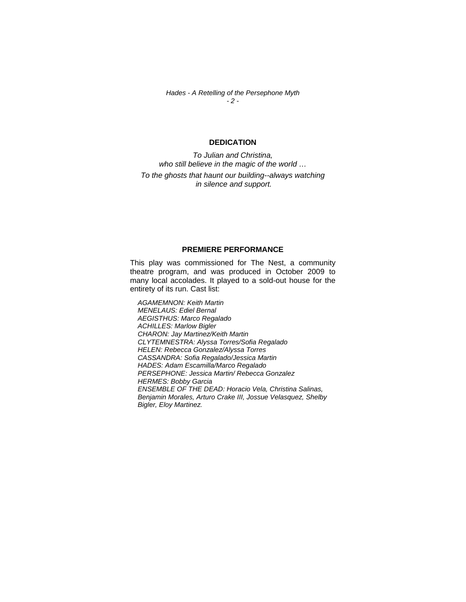*Hades - A Retelling of the Persephone Myth - 2 -*

#### **DEDICATION**

*To Julian and Christina, who still believe in the magic of the world … To the ghosts that haunt our building--always watching in silence and support.* 

#### **PREMIERE PERFORMANCE**

This play was commissioned for The Nest, a community theatre program, and was produced in October 2009 to many local accolades. It played to a sold-out house for the entirety of its run. Cast list:

*AGAMEMNON: Keith Martin MENELAUS: Ediel Bernal AEGISTHUS: Marco Regalado ACHILLES: Marlow Bigler CHARON: Jay Martinez/Keith Martin CLYTEMNESTRA: Alyssa Torres/Sofia Regalado HELEN: Rebecca Gonzalez/Alyssa Torres CASSANDRA: Sofia Regalado/Jessica Martin HADES: Adam Escamilla/Marco Regalado PERSEPHONE: Jessica Martin/ Rebecca Gonzalez HERMES: Bobby Garcia ENSEMBLE OF THE DEAD: Horacio Vela, Christina Salinas, Benjamin Morales, Arturo Crake III, Jossue Velasquez, Shelby Bigler, Eloy Martinez.*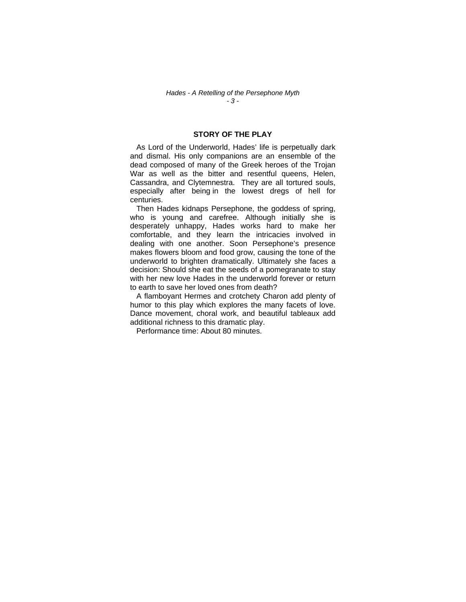#### *Hades - A Retelling of the Persephone Myth - 3 -*

#### **STORY OF THE PLAY**

 As Lord of the Underworld, Hades' life is perpetually dark and dismal. His only companions are an ensemble of the dead composed of many of the Greek heroes of the Trojan War as well as the bitter and resentful queens, Helen, Cassandra, and Clytemnestra. They are all tortured souls, especially after being in the lowest dregs of hell for centuries.

 Then Hades kidnaps Persephone, the goddess of spring, who is young and carefree. Although initially she is desperately unhappy, Hades works hard to make her comfortable, and they learn the intricacies involved in dealing with one another. Soon Persephone's presence makes flowers bloom and food grow, causing the tone of the underworld to brighten dramatically. Ultimately she faces a decision: Should she eat the seeds of a pomegranate to stay with her new love Hades in the underworld forever or return to earth to save her loved ones from death?

 A flamboyant Hermes and crotchety Charon add plenty of humor to this play which explores the many facets of love. Dance movement, choral work, and beautiful tableaux add additional richness to this dramatic play.

Performance time: About 80 minutes.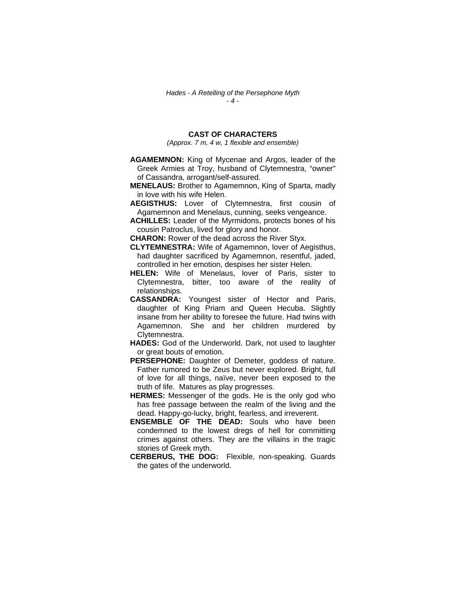#### **CAST OF CHARACTERS**

*(Approx. 7 m, 4 w, 1 flexible and ensemble)*

- **AGAMEMNON:** King of Mycenae and Argos, leader of the Greek Armies at Troy, husband of Clytemnestra, "owner" of Cassandra, arrogant/self-assured.
- **MENELAUS:** Brother to Agamemnon, King of Sparta, madly in love with his wife Helen.
- **AEGISTHUS:** Lover of Clytemnestra, first cousin of Agamemnon and Menelaus, cunning, seeks vengeance.
- **ACHILLES:** Leader of the Myrmidons, protects bones of his cousin Patroclus, lived for glory and honor.

**CHARON:** Rower of the dead across the River Styx.

- **CLYTEMNESTRA:** Wife of Agamemnon, lover of Aegisthus, had daughter sacrificed by Agamemnon, resentful, jaded, controlled in her emotion, despises her sister Helen.
- **HELEN:** Wife of Menelaus, lover of Paris, sister to Clytemnestra, bitter, too aware of the reality of relationships.
- **CASSANDRA:** Youngest sister of Hector and Paris, daughter of King Priam and Queen Hecuba. Slightly insane from her ability to foresee the future. Had twins with Agamemnon. She and her children murdered by Clytemnestra.
- **HADES:** God of the Underworld. Dark, not used to laughter or great bouts of emotion.
- **PERSEPHONE:** Daughter of Demeter, goddess of nature. Father rumored to be Zeus but never explored. Bright, full of love for all things, naïve, never been exposed to the truth of life. Matures as play progresses.
- **HERMES:** Messenger of the gods. He is the only god who has free passage between the realm of the living and the dead. Happy-go-lucky, bright, fearless, and irreverent.
- **ENSEMBLE OF THE DEAD:** Souls who have been condemned to the lowest dregs of hell for committing crimes against others. They are the villains in the tragic stories of Greek myth.
- **CERBERUS, THE DOG:** Flexible, non-speaking. Guards the gates of the underworld.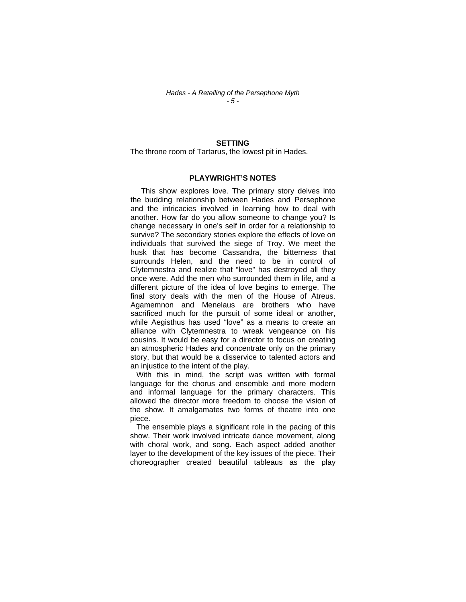#### *Hades - A Retelling of the Persephone Myth - 5 -*

#### **SETTING**

The throne room of Tartarus, the lowest pit in Hades.

#### **PLAYWRIGHT'S NOTES**

 This show explores love. The primary story delves into the budding relationship between Hades and Persephone and the intricacies involved in learning how to deal with another. How far do you allow someone to change you? Is change necessary in one's self in order for a relationship to survive? The secondary stories explore the effects of love on individuals that survived the siege of Troy. We meet the husk that has become Cassandra, the bitterness that surrounds Helen, and the need to be in control of Clytemnestra and realize that "love" has destroyed all they once were. Add the men who surrounded them in life, and a different picture of the idea of love begins to emerge. The final story deals with the men of the House of Atreus. Agamemnon and Menelaus are brothers who have sacrificed much for the pursuit of some ideal or another, while Aegisthus has used "love" as a means to create an alliance with Clytemnestra to wreak vengeance on his cousins. It would be easy for a director to focus on creating an atmospheric Hades and concentrate only on the primary story, but that would be a disservice to talented actors and an injustice to the intent of the play.

 With this in mind, the script was written with formal language for the chorus and ensemble and more modern and informal language for the primary characters. This allowed the director more freedom to choose the vision of the show. It amalgamates two forms of theatre into one piece.

 The ensemble plays a significant role in the pacing of this show. Their work involved intricate dance movement, along with choral work, and song. Each aspect added another layer to the development of the key issues of the piece. Their choreographer created beautiful tableaus as the play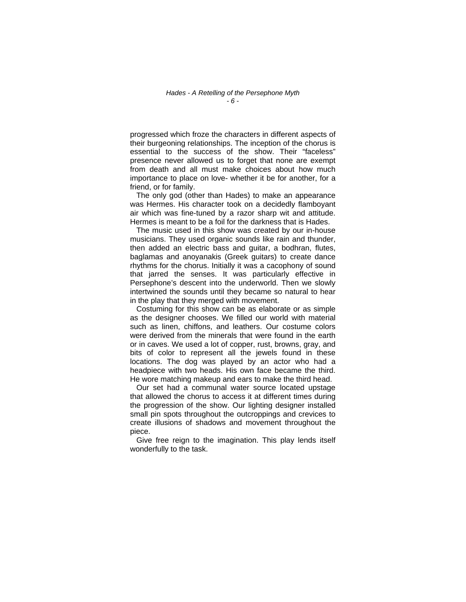#### *Hades - A Retelling of the Persephone Myth - 6 -*

progressed which froze the characters in different aspects of their burgeoning relationships. The inception of the chorus is essential to the success of the show. Their "faceless" presence never allowed us to forget that none are exempt from death and all must make choices about how much importance to place on love- whether it be for another, for a friend, or for family.

 The only god (other than Hades) to make an appearance was Hermes. His character took on a decidedly flamboyant air which was fine-tuned by a razor sharp wit and attitude. Hermes is meant to be a foil for the darkness that is Hades.

 The music used in this show was created by our in-house musicians. They used organic sounds like rain and thunder, then added an electric bass and guitar, a bodhran, flutes, baglamas and anoyanakis (Greek guitars) to create dance rhythms for the chorus. Initially it was a cacophony of sound that jarred the senses. It was particularly effective in Persephone's descent into the underworld. Then we slowly intertwined the sounds until they became so natural to hear in the play that they merged with movement.

 Costuming for this show can be as elaborate or as simple as the designer chooses. We filled our world with material such as linen, chiffons, and leathers. Our costume colors were derived from the minerals that were found in the earth or in caves. We used a lot of copper, rust, browns, gray, and bits of color to represent all the jewels found in these locations. The dog was played by an actor who had a headpiece with two heads. His own face became the third. He wore matching makeup and ears to make the third head.

 Our set had a communal water source located upstage that allowed the chorus to access it at different times during the progression of the show. Our lighting designer installed small pin spots throughout the outcroppings and crevices to create illusions of shadows and movement throughout the piece.

 Give free reign to the imagination. This play lends itself wonderfully to the task.